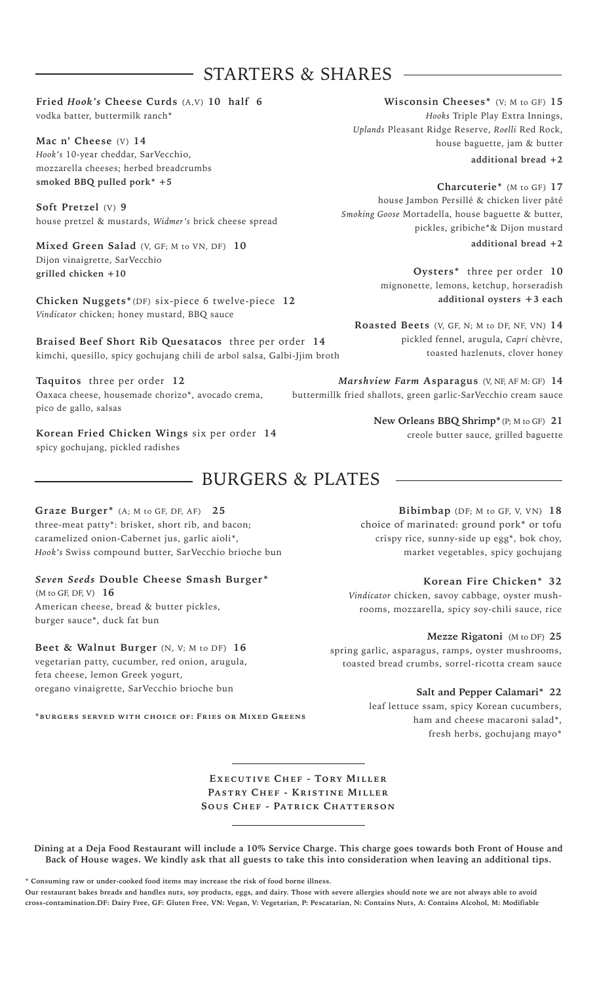## - STARTERS & SHARES

#### **Fried** *Hook's* **Cheese Curds** (A,V) **10 half 6** vodka batter, buttermilk ranch\*

**Mac n' Cheese** (V) **14** *Hook's* 10-year cheddar, SarVecchio, mozzarella cheeses; herbed breadcrumbs **smoked BBQ pulled pork\* +5**

**Soft Pretzel** (V) **9** house pretzel & mustards, *Widmer's* brick cheese spread

**Mixed Green Salad** (V, GF; M to VN, DF) **10**  Dijon vinaigrette, SarVecchio **grilled chicken +10**

**Chicken Nuggets\***(DF) six-piece 6 twelve-piece **12** *Vindicator* chicken; honey mustard, BBQ sauce

**Braised Beef Short Rib Quesatacos** three per order **14** kimchi, quesillo, spicy gochujang chili de arbol salsa, Galbi-Jjim broth

**Taquitos** three per order **12** Oaxaca cheese, housemade chorizo\*, avocado crema, pico de gallo, salsas

**Korean Fried Chicken Wings** six per order **14** spicy gochujang, pickled radishes

## **BURGERS & PLATES**

**Graze Burger\*** (A; M to GF, DF, AF) **25** three-meat patty\*: brisket, short rib, and bacon; caramelized onion-Cabernet jus, garlic aioli\*, *Hook's* Swiss compound butter, SarVecchio brioche bun

### *Seven Seeds* **Double Cheese Smash Burger\***

(M to GF, DF, V) **16** American cheese, bread & butter pickles, burger sauce\*, duck fat bun

**Beet & Walnut Burger** (N, V; M to DF) **16** vegetarian patty, cucumber, red onion, arugula, feta cheese, lemon Greek yogurt, oregano vinaigrette, SarVecchio brioche bun

**\*burgers served with choice of: Fries or Mixed Greens** 

**Wisconsin Cheeses\*** (V; M to GF) **15**  *Hooks* Triple Play Extra Innings, *Uplands* Pleasant Ridge Reserve, *Roelli* Red Rock, house baguette, jam & butter

**additional bread +2**

**Charcuterie\*** (M to GF) **17**  house Jambon Persillé & chicken liver pâté *Smoking Goose* Mortadella, house baguette & butter, pickles, gribiche\*& Dijon mustard **additional bread +2**

> **Oysters\*** three per order **10** mignonette, lemons, ketchup, horseradish **additional oysters +3 each**

**Roasted Beets** (V, GF, N; M to DF, NF, VN) **14**  pickled fennel, arugula, *Capri* chèvre, toasted hazlenuts, clover honey

*Marshview Farm* **Asparagus** (V, NF, AF M: GF) **14** buttermillk fried shallots, green garlic-SarVecchio cream sauce

> **New Orleans BBQ Shrimp\***(P; M to GF) **21** creole butter sauce, grilled baguette

**Bibimbap** (DF; M to GF, V, VN) **18** choice of marinated: ground pork\* or tofu crispy rice, sunny-side up egg\*, bok choy, market vegetables, spicy gochujang

**Korean Fire Chicken\* 32** *Vindicator* chicken, savoy cabbage, oyster mushrooms, mozzarella, spicy soy-chili sauce, rice

**Mezze Rigatoni** (M to DF) **25**

spring garlic, asparagus, ramps, oyster mushrooms, toasted bread crumbs, sorrel-ricotta cream sauce

**Salt and Pepper Calamari\* 22**

leaf lettuce ssam, spicy Korean cucumbers, ham and cheese macaroni salad\*, fresh herbs, gochujang mayo\*

**Executive Chef - Tory Miller Pastry Chef - Kristine Miller Sous Chef - Patrick Chatterson**

**Dining at a Deja Food Restaurant will include a 10% Service Charge. This charge goes towards both Front of House and Back of House wages. We kindly ask that all guests to take this into consideration when leaving an additional tips.**

**\* Consuming raw or under-cooked food items may increase the risk of food borne illness. Our restaurant bakes breads and handles nuts, soy products, eggs, and dairy. Those with severe allergies should note we are not always able to avoid cross-contamination.DF: Dairy Free, GF: Gluten Free, VN: Vegan, V: Vegetarian, P: Pescatarian, N: Contains Nuts, A: Contains Alcohol, M: Modifiable**